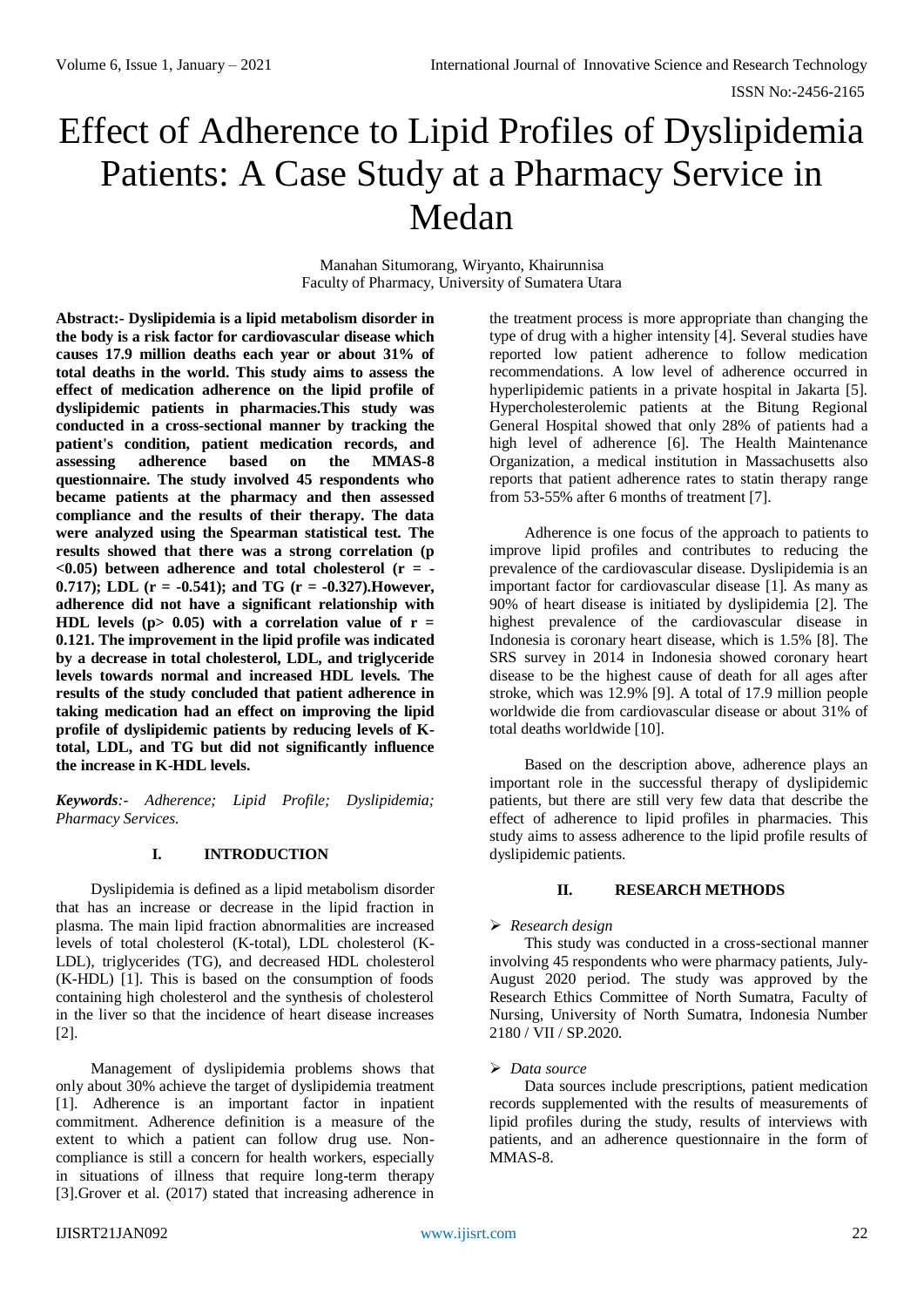# Effect of Adherence to Lipid Profiles of Dyslipidemia Patients: A Case Study at a Pharmacy Service in Medan

Manahan Situmorang, Wiryanto, Khairunnisa Faculty of Pharmacy, University of Sumatera Utara

**Abstract:- Dyslipidemia is a lipid metabolism disorder in the body is a risk factor for cardiovascular disease which causes 17.9 million deaths each year or about 31% of total deaths in the world. This study aims to assess the effect of medication adherence on the lipid profile of dyslipidemic patients in pharmacies.This study was conducted in a cross-sectional manner by tracking the patient's condition, patient medication records, and assessing adherence based on the MMAS-8 questionnaire. The study involved 45 respondents who became patients at the pharmacy and then assessed compliance and the results of their therapy. The data were analyzed using the Spearman statistical test. The results showed that there was a strong correlation (p <0.05) between adherence and total cholesterol (r = - 0.717); LDL (r = -0.541); and TG (r = -0.327).However, adherence did not have a significant relationship with HDL** levels ( $p > 0.05$ ) with a correlation value of  $r =$ **0.121. The improvement in the lipid profile was indicated by a decrease in total cholesterol, LDL, and triglyceride levels towards normal and increased HDL levels. The results of the study concluded that patient adherence in taking medication had an effect on improving the lipid profile of dyslipidemic patients by reducing levels of Ktotal, LDL, and TG but did not significantly influence the increase in K-HDL levels.**

*Keywords:- Adherence; Lipid Profile; Dyslipidemia; Pharmacy Services.*

#### **I. INTRODUCTION**

Dyslipidemia is defined as a lipid metabolism disorder that has an increase or decrease in the lipid fraction in plasma. The main lipid fraction abnormalities are increased levels of total cholesterol (K-total), LDL cholesterol (K-LDL), triglycerides (TG), and decreased HDL cholesterol (K-HDL) [1]. This is based on the consumption of foods containing high cholesterol and the synthesis of cholesterol in the liver so that the incidence of heart disease increases [2].

Management of dyslipidemia problems shows that only about 30% achieve the target of dyslipidemia treatment [1]. Adherence is an important factor in inpatient commitment. Adherence definition is a measure of the extent to which a patient can follow drug use. Noncompliance is still a concern for health workers, especially in situations of illness that require long-term therapy [3].Grover et al. (2017) stated that increasing adherence in

the treatment process is more appropriate than changing the type of drug with a higher intensity [4]. Several studies have reported low patient adherence to follow medication recommendations. A low level of adherence occurred in hyperlipidemic patients in a private hospital in Jakarta [5]. Hypercholesterolemic patients at the Bitung Regional General Hospital showed that only 28% of patients had a high level of adherence [6]. The Health Maintenance Organization, a medical institution in Massachusetts also reports that patient adherence rates to statin therapy range from 53-55% after 6 months of treatment [7].

Adherence is one focus of the approach to patients to improve lipid profiles and contributes to reducing the prevalence of the cardiovascular disease. Dyslipidemia is an important factor for cardiovascular disease [1]. As many as 90% of heart disease is initiated by dyslipidemia [2]. The highest prevalence of the cardiovascular disease in Indonesia is coronary heart disease, which is 1.5% [8]. The SRS survey in 2014 in Indonesia showed coronary heart disease to be the highest cause of death for all ages after stroke, which was 12.9% [9]. A total of 17.9 million people worldwide die from cardiovascular disease or about 31% of total deaths worldwide [10].

Based on the description above, adherence plays an important role in the successful therapy of dyslipidemic patients, but there are still very few data that describe the effect of adherence to lipid profiles in pharmacies. This study aims to assess adherence to the lipid profile results of dyslipidemic patients.

# **II. RESEARCH METHODS**

# *Research design*

This study was conducted in a cross-sectional manner involving 45 respondents who were pharmacy patients, July-August 2020 period. The study was approved by the Research Ethics Committee of North Sumatra, Faculty of Nursing, University of North Sumatra, Indonesia Number 2180 / VII / SP.2020.

#### *Data source*

Data sources include prescriptions, patient medication records supplemented with the results of measurements of lipid profiles during the study, results of interviews with patients, and an adherence questionnaire in the form of MMAS-8.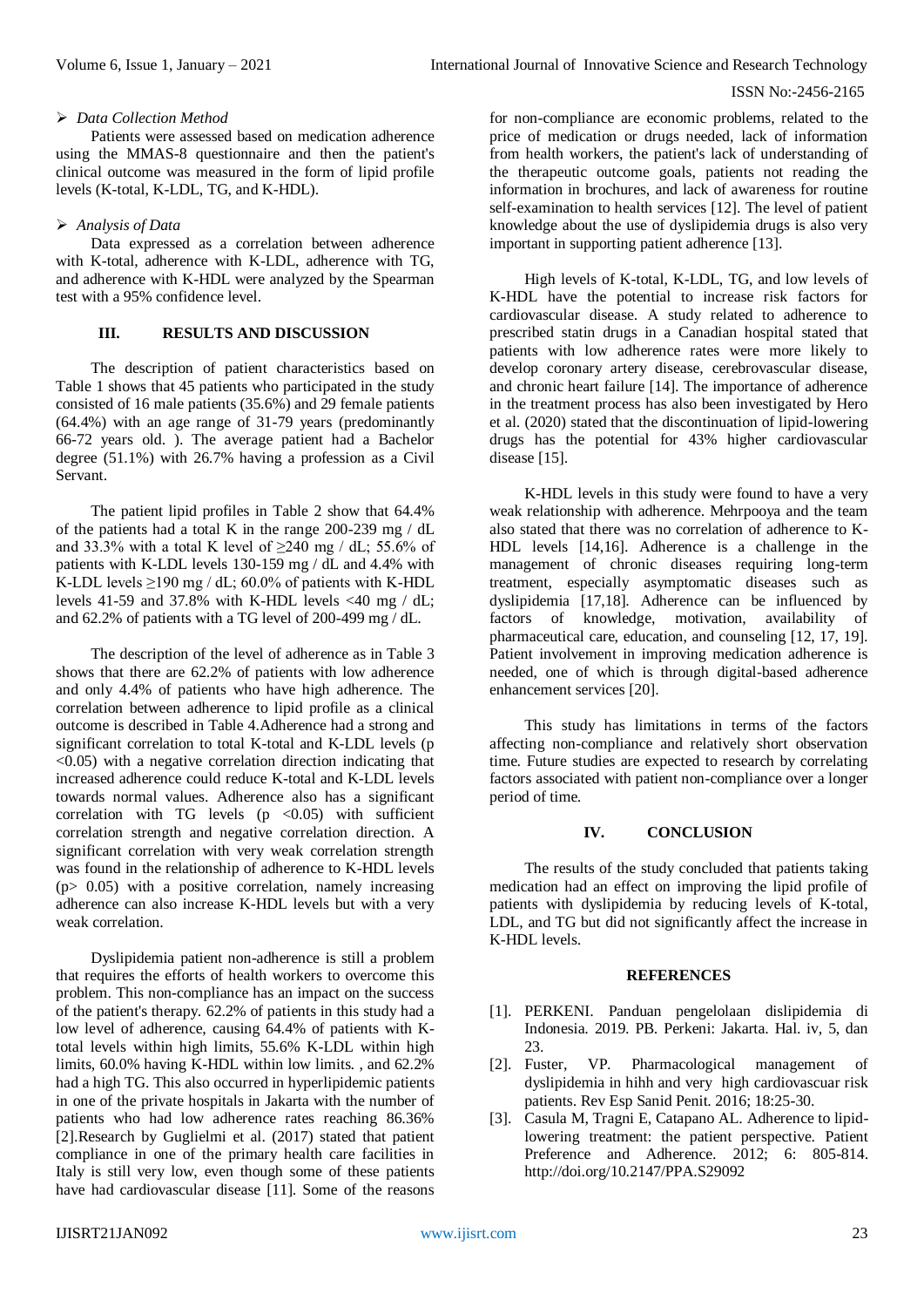#### ISSN No:-2456-2165

## *Data Collection Method*

Patients were assessed based on medication adherence using the MMAS-8 questionnaire and then the patient's clinical outcome was measured in the form of lipid profile levels (K-total, K-LDL, TG, and K-HDL).

## *Analysis of Data*

Data expressed as a correlation between adherence with K-total, adherence with K-LDL, adherence with TG, and adherence with K-HDL were analyzed by the Spearman test with a 95% confidence level.

## **III. RESULTS AND DISCUSSION**

The description of patient characteristics based on Table 1 shows that 45 patients who participated in the study consisted of 16 male patients (35.6%) and 29 female patients (64.4%) with an age range of 31-79 years (predominantly 66-72 years old. ). The average patient had a Bachelor degree (51.1%) with 26.7% having a profession as a Civil Servant.

The patient lipid profiles in Table 2 show that 64.4% of the patients had a total K in the range 200-239 mg / dL and 33.3% with a total K level of  $\geq$ 240 mg / dL; 55.6% of patients with K-LDL levels 130-159 mg / dL and 4.4% with K-LDL levels  $\geq$ 190 mg / dL; 60.0% of patients with K-HDL levels 41-59 and 37.8% with K-HDL levels <40 mg / dL; and 62.2% of patients with a TG level of 200-499 mg / dL.

The description of the level of adherence as in Table 3 shows that there are 62.2% of patients with low adherence and only 4.4% of patients who have high adherence. The correlation between adherence to lipid profile as a clinical outcome is described in Table 4.Adherence had a strong and significant correlation to total K-total and K-LDL levels (p  $\langle 0.05 \rangle$  with a negative correlation direction indicating that increased adherence could reduce K-total and K-LDL levels towards normal values. Adherence also has a significant correlation with TG levels  $(p \lt 0.05)$  with sufficient correlation strength and negative correlation direction. A significant correlation with very weak correlation strength was found in the relationship of adherence to K-HDL levels  $(p> 0.05)$  with a positive correlation, namely increasing adherence can also increase K-HDL levels but with a very weak correlation.

Dyslipidemia patient non-adherence is still a problem that requires the efforts of health workers to overcome this problem. This non-compliance has an impact on the success of the patient's therapy. 62.2% of patients in this study had a low level of adherence, causing 64.4% of patients with Ktotal levels within high limits, 55.6% K-LDL within high limits, 60.0% having K-HDL within low limits. , and 62.2% had a high TG. This also occurred in hyperlipidemic patients in one of the private hospitals in Jakarta with the number of patients who had low adherence rates reaching 86.36% [2].Research by Guglielmi et al. (2017) stated that patient compliance in one of the primary health care facilities in Italy is still very low, even though some of these patients have had cardiovascular disease [11]. Some of the reasons

for non-compliance are economic problems, related to the price of medication or drugs needed, lack of information from health workers, the patient's lack of understanding of the therapeutic outcome goals, patients not reading the information in brochures, and lack of awareness for routine self-examination to health services [12]. The level of patient knowledge about the use of dyslipidemia drugs is also very important in supporting patient adherence [13].

High levels of K-total, K-LDL, TG, and low levels of K-HDL have the potential to increase risk factors for cardiovascular disease. A study related to adherence to prescribed statin drugs in a Canadian hospital stated that patients with low adherence rates were more likely to develop coronary artery disease, cerebrovascular disease, and chronic heart failure [14]. The importance of adherence in the treatment process has also been investigated by Hero et al. (2020) stated that the discontinuation of lipid-lowering drugs has the potential for 43% higher cardiovascular disease [15].

K-HDL levels in this study were found to have a very weak relationship with adherence. Mehrpooya and the team also stated that there was no correlation of adherence to K-HDL levels [14,16]. Adherence is a challenge in the management of chronic diseases requiring long-term treatment, especially asymptomatic diseases such as dyslipidemia [17,18]. Adherence can be influenced by factors of knowledge, motivation, availability of pharmaceutical care, education, and counseling [12, 17, 19]. Patient involvement in improving medication adherence is needed, one of which is through digital-based adherence enhancement services [20].

This study has limitations in terms of the factors affecting non-compliance and relatively short observation time. Future studies are expected to research by correlating factors associated with patient non-compliance over a longer period of time.

#### **IV. CONCLUSION**

The results of the study concluded that patients taking medication had an effect on improving the lipid profile of patients with dyslipidemia by reducing levels of K-total, LDL, and TG but did not significantly affect the increase in K-HDL levels.

## **REFERENCES**

- [1]. PERKENI. Panduan pengelolaan dislipidemia di Indonesia. 2019. PB. Perkeni: Jakarta. Hal. iv, 5, dan 23.
- [2]. Fuster, VP. Pharmacological management of dyslipidemia in hihh and very high cardiovascuar risk patients. Rev Esp Sanid Penit. 2016; 18:25-30.
- [3]. Casula M, Tragni E, Catapano AL. Adherence to lipidlowering treatment: the patient perspective. Patient Preference and Adherence. 2012; 6: 805-814. <http://doi.org/10.2147/PPA.S29092>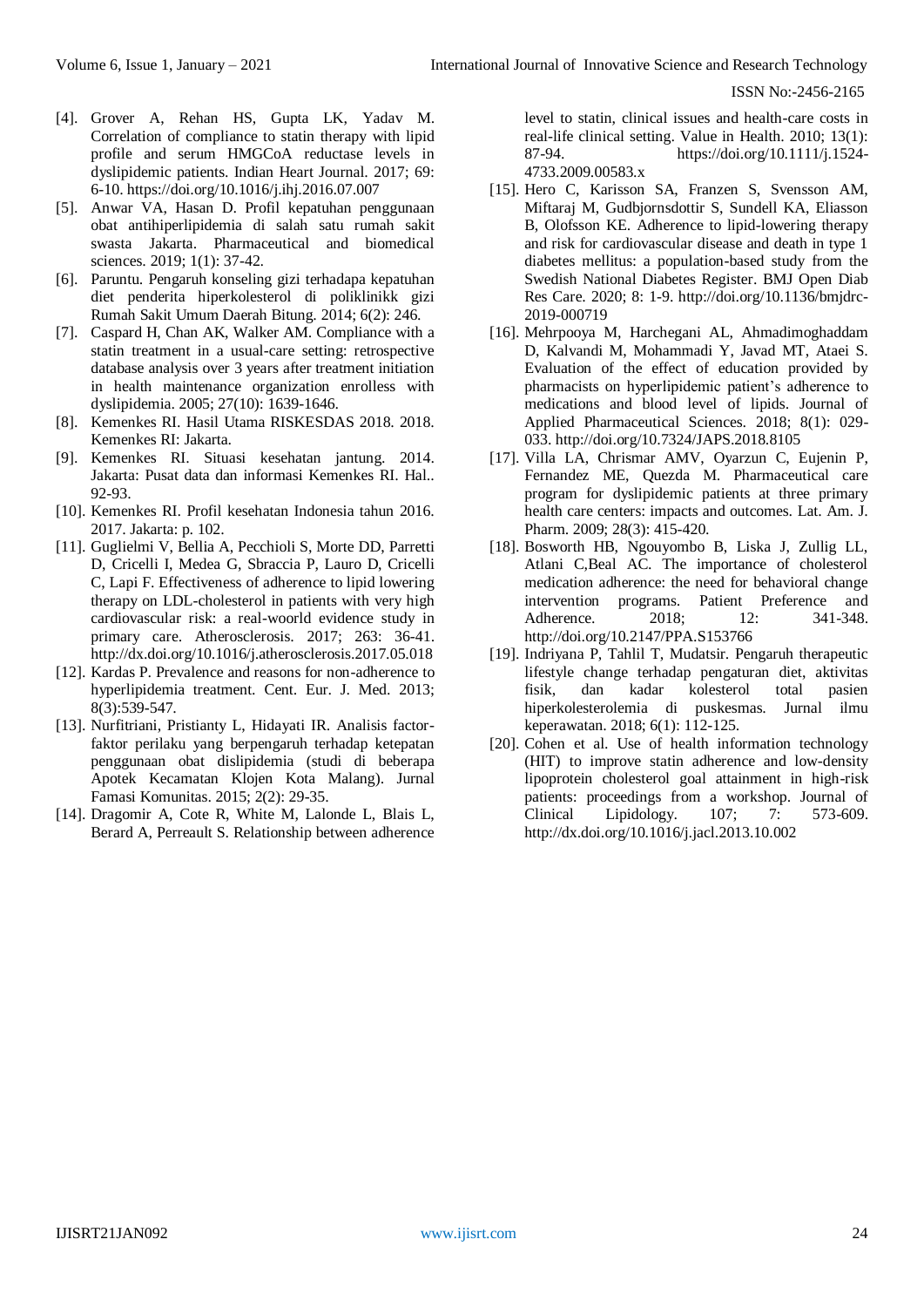ISSN No:-2456-2165

- [4]. Grover A, Rehan HS, Gupta LK, Yadav M. Correlation of compliance to statin therapy with lipid profile and serum HMGCoA reductase levels in dyslipidemic patients. Indian Heart Journal. 2017; 69: 6-10.<https://doi.org/10.1016/j.ihj.2016.07.007>
- [5]. Anwar VA, Hasan D. Profil kepatuhan penggunaan obat antihiperlipidemia di salah satu rumah sakit swasta Jakarta. Pharmaceutical and biomedical sciences. 2019; 1(1): 37-42.
- [6]. Paruntu. Pengaruh konseling gizi terhadapa kepatuhan diet penderita hiperkolesterol di poliklinikk gizi Rumah Sakit Umum Daerah Bitung. 2014; 6(2): 246.
- [7]. Caspard H, Chan AK, Walker AM. Compliance with a statin treatment in a usual-care setting: retrospective database analysis over 3 years after treatment initiation in health maintenance organization enrolless with dyslipidemia. 2005; 27(10): 1639-1646.
- [8]. Kemenkes RI. Hasil Utama RISKESDAS 2018. 2018. Kemenkes RI: Jakarta.
- [9]. Kemenkes RI. Situasi kesehatan jantung. 2014. Jakarta: Pusat data dan informasi Kemenkes RI. Hal.. 92-93.
- [10]. Kemenkes RI. Profil kesehatan Indonesia tahun 2016. 2017. Jakarta: p. 102.
- [11]. Guglielmi V, Bellia A, Pecchioli S, Morte DD, Parretti D, Cricelli I, Medea G, Sbraccia P, Lauro D, Cricelli C, Lapi F. Effectiveness of adherence to lipid lowering therapy on LDL-cholesterol in patients with very high cardiovascular risk: a real-woorld evidence study in primary care. Atherosclerosis. 2017; 263: 36-41. <http://dx.doi.org/10.1016/j.atherosclerosis.2017.05.018>
- [12]. Kardas P. Prevalence and reasons for non-adherence to hyperlipidemia treatment. Cent. Eur. J. Med. 2013; 8(3):539-547.
- [13]. Nurfitriani, Pristianty L, Hidayati IR. Analisis factorfaktor perilaku yang berpengaruh terhadap ketepatan penggunaan obat dislipidemia (studi di beberapa Apotek Kecamatan Klojen Kota Malang). Jurnal Famasi Komunitas. 2015; 2(2): 29-35.
- [14]. Dragomir A, Cote R, White M, Lalonde L, Blais L, Berard A, Perreault S. Relationship between adherence

level to statin, clinical issues and health-care costs in real-life clinical setting. Value in Health. 2010; 13(1): 87-94. [https://doi.org/10.1111/j.1524-](https://doi.org/10.1111/j.1524-4733.2009.00583.x) [4733.2009.00583.x](https://doi.org/10.1111/j.1524-4733.2009.00583.x)

- [15]. Hero C, Karisson SA, Franzen S, Svensson AM, Miftaraj M, Gudbjornsdottir S, Sundell KA, Eliasson B, Olofsson KE. Adherence to lipid-lowering therapy and risk for cardiovascular disease and death in type 1 diabetes mellitus: a population-based study from the Swedish National Diabetes Register. BMJ Open Diab Res Care. 2020; 8: 1-9. [http://doi.org/10.1136/bmjdrc-](http://doi.org/10.1136/bmjdrc-2019-000719)[2019-000719](http://doi.org/10.1136/bmjdrc-2019-000719)
- [16]. Mehrpooya M, Harchegani AL, Ahmadimoghaddam D, Kalvandi M, Mohammadi Y, Javad MT, Ataei S. Evaluation of the effect of education provided by pharmacists on hyperlipidemic patient's adherence to medications and blood level of lipids. Journal of Applied Pharmaceutical Sciences. 2018; 8(1): 029- 033.<http://doi.org/10.7324/JAPS.2018.8105>
- [17]. Villa LA, Chrismar AMV, Oyarzun C, Eujenin P, Fernandez ME, Quezda M. Pharmaceutical care program for dyslipidemic patients at three primary health care centers: impacts and outcomes. Lat. Am. J. Pharm. 2009; 28(3): 415-420.
- [18]. Bosworth HB, Ngouyombo B, Liska J, Zullig LL, Atlani C,Beal AC. The importance of cholesterol medication adherence: the need for behavioral change intervention programs. Patient Preference and Adherence. 2018; 12: 341-348. <http://doi.org/10.2147/PPA.S153766>
- [19]. Indriyana P, Tahlil T, Mudatsir. Pengaruh therapeutic lifestyle change terhadap pengaturan diet, aktivitas fisik, dan kadar kolesterol total pasien hiperkolesterolemia di puskesmas. Jurnal ilmu keperawatan. 2018; 6(1): 112-125.
- [20]. Cohen et al. Use of health information technology (HIT) to improve statin adherence and low-density lipoprotein cholesterol goal attainment in high-risk patients: proceedings from a workshop. Journal of Clinical Lipidology. 107; 7: 573-609. <http://dx.doi.org/10.1016/j.jacl.2013.10.002>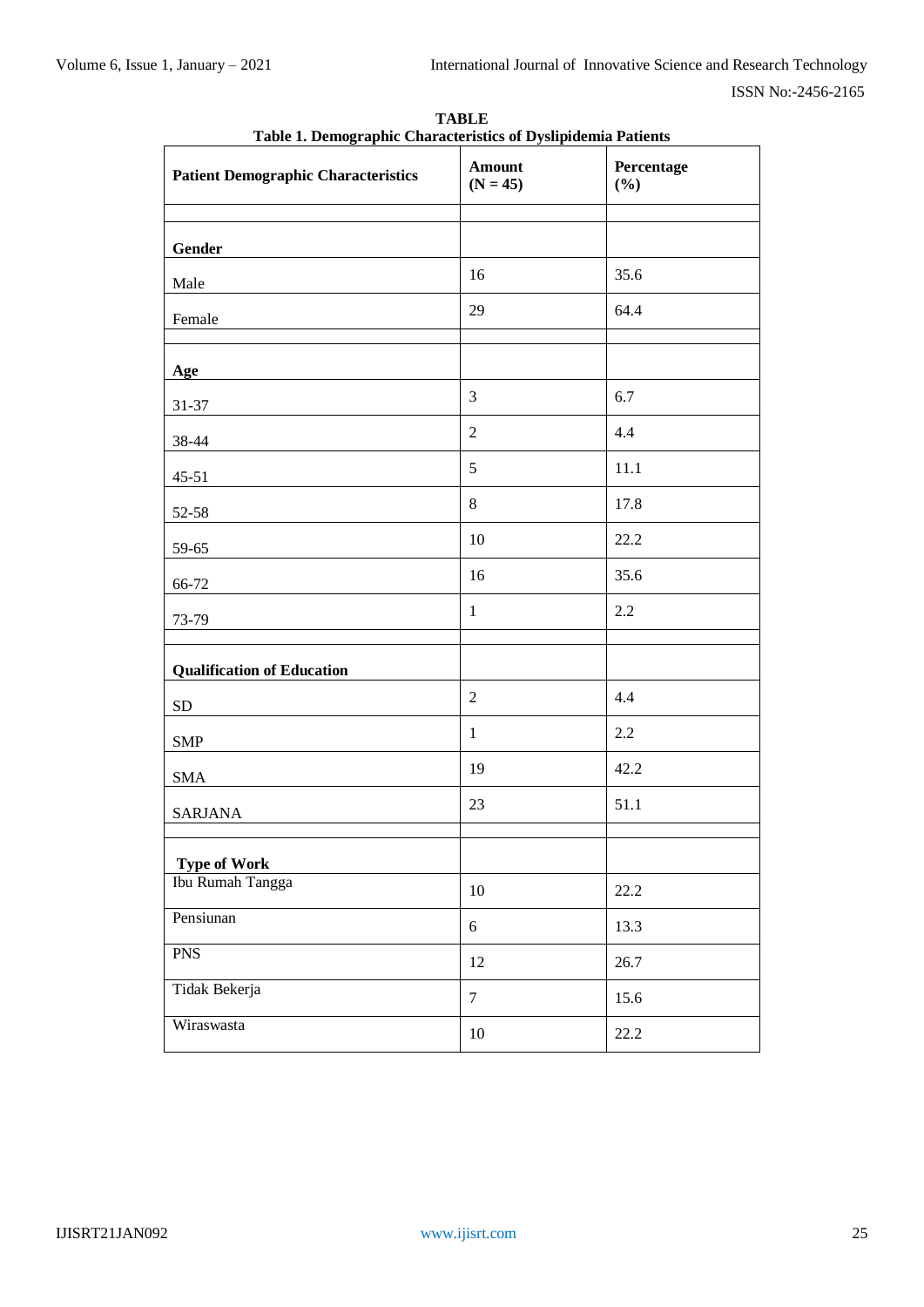| <b>Patient Demographic Characteristics</b> | <b>Amount</b><br>$(N = 45)$ | Percentage<br>(%) |
|--------------------------------------------|-----------------------------|-------------------|
| Gender                                     |                             |                   |
| Male                                       | 16                          | 35.6              |
| Female                                     | 29                          | 64.4              |
| Age                                        |                             |                   |
| 31-37                                      | 3                           | 6.7               |
| 38-44                                      | $\overline{2}$              | 4.4               |
| $45 - 51$                                  | 5                           | 11.1              |
| 52-58                                      | 8                           | 17.8              |
| 59-65                                      | 10                          | 22.2              |
| 66-72                                      | 16                          | 35.6              |
| 73-79                                      | $\mathbf{1}$                | 2.2               |
| <b>Qualification of Education</b>          |                             |                   |
| ${\rm SD}$                                 | $\overline{2}$              | 4.4               |
| <b>SMP</b>                                 | $\mathbf{1}$                | 2.2               |
| $\operatorname{SMA}$                       | 19                          | 42.2              |
| <b>SARJANA</b>                             | 23                          | 51.1              |
| <b>Type of Work</b>                        |                             |                   |
| Ibu Rumah Tangga                           | $10\,$                      | 22.2              |
| Pensiunan                                  | $\sqrt{6}$                  | 13.3              |
| <b>PNS</b>                                 | 12                          | 26.7              |
| Tidak Bekerja                              | $\tau$                      | 15.6              |
| Wiraswasta                                 | 10                          | 22.2              |

**TABLE Table 1. Demographic Characteristics of Dyslipidemia Patients**